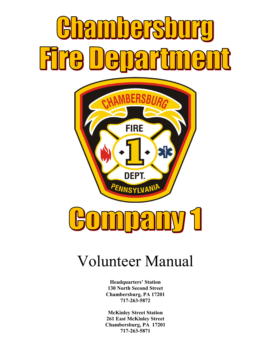# C 5  $\begin{bmatrix} 0 \\ 0 \end{bmatrix}$  $\overline{\mathbf{r}}$  $\frac{1}{\sqrt{2}}$ I



# Volunteer Manual

**Headquarters' Station 130 North Second Street Chambersburg, PA 17201 717-263-5872**

**McKinley Street Station 261 East McKinley Street Chambersburg, PA 17201 717-263-5871**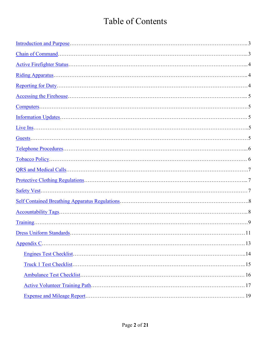# Table of Contents

| $Guess 3 3 4 5 6 7 8 9 9 9 9 9 9 9 9 9 9 9 9 9 9 9 9 9 9 9 9 9 9 9 9$ |  |
|-----------------------------------------------------------------------|--|
|                                                                       |  |
|                                                                       |  |
|                                                                       |  |
|                                                                       |  |
|                                                                       |  |
|                                                                       |  |
|                                                                       |  |
|                                                                       |  |
|                                                                       |  |
|                                                                       |  |
|                                                                       |  |
|                                                                       |  |
|                                                                       |  |
|                                                                       |  |
|                                                                       |  |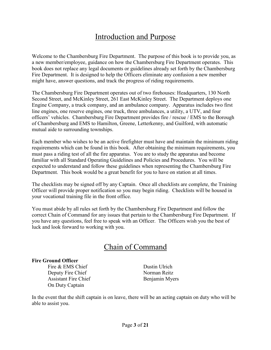# Introduction and Purpose

<span id="page-2-0"></span>Welcome to the Chambersburg Fire Department. The purpose of this book is to provide you, as a new member/employee, guidance on how the Chambersburg Fire Department operates. This book does not replace any legal documents or guidelines already set forth by the Chambersburg Fire Department. It is designed to help the Officers eliminate any confusion a new member might have, answer questions, and track the progress of riding requirements.

The Chambersburg Fire Department operates out of two firehouses: Headquarters, 130 North Second Street, and McKinley Street, 261 East McKinley Street. The Department deploys one Engine Company, a truck company, and an ambulance company. Apparatus includes two first line engines, one reserve engines, one truck, three ambulances, a utility, a UTV, and four officers' vehicles. Chambersburg Fire Department provides fire / rescue / EMS to the Borough of Chambersburg and EMS to Hamilton, Greene, Letterkenny, and Guilford, with automatic mutual aide to surrounding townships.

Each member who wishes to be an active firefighter must have and maintain the minimum riding requirements which can be found in this book. After obtaining the minimum requirements, you must pass a riding test of all the fire apparatus. You are to study the apparatus and become familiar with all Standard Operating Guidelines and Policies and Procedures. You will be expected to understand and follow these guidelines when representing the Chambersburg Fire Department. This book would be a great benefit for you to have on station at all times.

The checklists may be signed off by any Captain. Once all checklists are complete, the Training Officer will provide proper notification so you may begin riding. Checklists will be housed in your vocational training file in the front office.

You must abide by all rules set forth by the Chambersburg Fire Department and follow the correct Chain of Command for any issues that pertain to the Chambersburg Fire Department. If you have any questions, feel free to speak with an Officer. The Officers wish you the best of luck and look forward to working with you.

### Chain of Command

#### <span id="page-2-1"></span>**Fire Ground Officer**

Fire & EMS Chief Dustin Ulrich Deputy Fire Chief Norman Reitz Assistant Fire Chief Benjamin Myers On Duty Captain

In the event that the shift captain is on leave, there will be an acting captain on duty who will be able to assist you.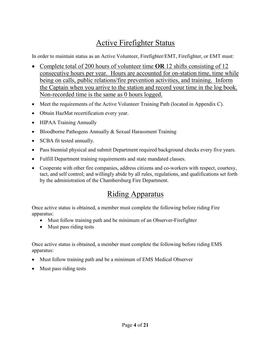# Active Firefighter Status

<span id="page-3-0"></span>In order to maintain status as an Active Volunteer, Firefighter/EMT, Firefighter, or EMT must:

- Complete total of 200 hours of volunteer time **OR** 12 shifts consisting of 12 consecutive hours per year. Hours are accounted for on-station time, time while being on calls, public relations/fire prevention activities, and training. Inform the Captain when you arrive to the station and record your time in the log book. Non-recorded time is the same as 0 hours logged.
- Meet the requirements of the Active Volunteer Training Path (located in Appendix C).
- Obtain HazMat recertification every year.
- HIPAA Training Annually
- Bloodborne Pathogens Annually & Sexual Harassment Training
- SCBA fit tested annually.
- Pass biennial physical and submit Department required background checks every five years.
- Fulfill Department training requirements and state mandated classes.
- Cooperate with other fire companies, address citizens and co-workers with respect, courtesy, tact, and self control; and willingly abide by all rules, regulations, and qualifications set forth by the administration of the Chambersburg Fire Department.

### Riding Apparatus

<span id="page-3-1"></span>Once active status is obtained, a member must complete the following before riding Fire apparatus:

- Must follow training path and be minimum of an Observer-Firefighter
- Must pass riding tests

Once active status is obtained, a member must complete the following before riding EMS apparatus:

- Must follow training path and be a minimum of EMS Medical Observer
- Must pass riding tests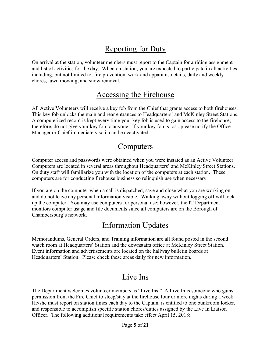# Reporting for Duty

<span id="page-4-0"></span>On arrival at the station, volunteer members must report to the Captain for a riding assignment and list of activities for the day. When on station, you are expected to participate in all activities including, but not limited to, fire prevention, work and apparatus details, daily and weekly chores, lawn mowing, and snow removal.

### Accessing the Firehouse

<span id="page-4-1"></span>All Active Volunteers will receive a key fob from the Chief that grants access to both firehouses. This key fob unlocks the main and rear entrances to Headquarters' and McKinley Street Stations. A computerized record is kept every time your key fob is used to gain access to the firehouse; therefore, do not give your key fob to anyone. If your key fob is lost, please notify the Office Manager or Chief immediately so it can be deactivated.

### Computers

<span id="page-4-2"></span>Computer access and passwords were obtained when you were instated as an Active Volunteer. Computers are located in several areas throughout Headquarters' and McKinley Street Stations. On duty staff will familiarize you with the location of the computers at each station. These computers are for conducting firehouse business so relinquish use when necessary.

If you are on the computer when a call is dispatched, save and close what you are working on, and do not leave any personal information visible. Walking away without logging off will lock up the computer. You may use computers for personal use; however, the IT Department monitors computer usage and file documents since all computers are on the Borough of Chambersburg's network.

### Information Updates

<span id="page-4-3"></span>Memorandums, General Orders, and Training information are all found posted in the second watch room at Headquarters' Station and the downstairs office at McKinley Street Station. Event information and advertisements are located on the hallway bulletin boards at Headquarters' Station. Please check these areas daily for new information.

# Live Ins

<span id="page-4-4"></span>The Department welcomes volunteer members as "Live Ins." A Live In is someone who gains permission from the Fire Chief to sleep/stay at the firehouse four or more nights during a week. He/she must report on station times each day to the Captain, is entitled to one bunkroom locker, and responsible to accomplish specific station chores/duties assigned by the Live In Liaison Officer. The following additional requirements take effect April 15, 2018: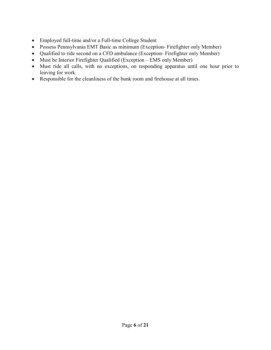- Employed full-time and/or a Full-time College Student
- Possess Pennsylvania EMT Basic as minimum (Exception- Firefighter only Member)
- Qualified to ride second on a CFD ambulance (Exception- Firefighter only Member)
- Must be Interior Firefighter Qualified (Exception EMS only Member)
- Must ride all calls, with no exceptions, on responding apparatus until one hour prior to leaving for work.
- Responsible for the cleanliness of the bunk room and firehouse at all times.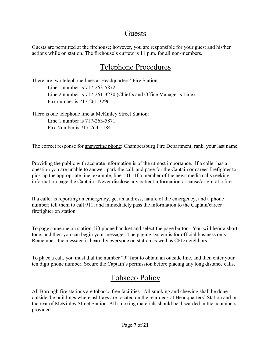### Guests

<span id="page-6-0"></span>Guests are permitted at the firehouse; however, you are responsible for your guest and his/her actions while on station. The firehouse's curfew is 11 p.m. for all non-members.

# Telephone Procedures

There are two telephone lines at Headquarters' Fire Station:

Line 1 number is 717-263-5872 Line 2 number is 717-261-3230 (Chief's and Office Manager's Line) Fax number is 717-261-3296

There is one telephone line at McKinley Street Station: Line 1 number is 717-263-5871 Fax Number is 717-264-5184

The correct response for answering phone: Chambersburg Fire Department, rank, your last name.

Providing the public with accurate information is of the utmost importance. If a caller has a question you are unable to answer, park the call, and page for the Captain or career firefighter to pick up the appropriate line, example, line 101. If a member of the news media calls seeking information page the Captain. Never disclose any patient information or cause/origin of a fire.

If a caller is reporting an emergency, get an address, nature of the emergency, and a phone number; tell them to call 911; and immediately pass the information to the Captain/career firefighter on station.

To page someone on station, lift phone handset and select the page button. You will hear a short tone, and then you can begin your message. The paging system is for official business only. Remember, the message is heard by everyone on station as well as CFD neighbors.

To place a call, you must dial the number "9" first to obtain an outside line, and then enter your ten digit phone number. Secure the Captain's permission before placing any long distance calls.

# Tobacco Policy

<span id="page-6-1"></span>All Borough fire stations are tobacco free facilities. All smoking and chewing shall be done outside the buildings where ashtrays are located on the rear deck at Headquarters' Station and in the rear of McKinley Street Station. All smoking materials should be discarded in the containers provided.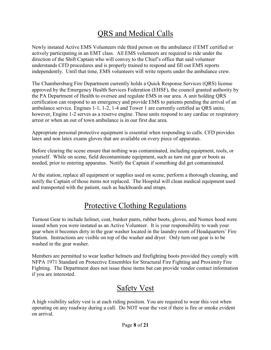# QRS and Medical Calls

<span id="page-7-0"></span>Newly instated Active EMS Volunteers ride third person on the ambulance if EMT certified or actively participating in an EMT class. All EMS volunteers are required to ride under the direction of the Shift Captain who will convey to the Chief's office that said volunteer understands CFD procedures and is properly trained to respond and fill out EMS reports independently. Until that time, EMS volunteers will write reports under the ambulance crew.

The Chambersburg Fire Department currently holds a Quick Response Services (QRS) license approved by the Emergency Health Services Federation (EHSF), the council granted authority by the PA Department of Health to oversee and regulate EMS in our area. A unit holding QRS certification can respond to an emergency and provide EMS to patients pending the arrival of an ambulance service. Engines 1-1, 1-2, 1-4 and Tower 1 are currently certified as QRS units; however, Engine 1-2 serves as a reserve engine. These units respond to any cardiac or respiratory arrest or when an out of town ambulance is in our first due area.

Appropriate personal protective equipment is essential when responding to calls. CFD provides latex and non latex exams gloves that are available on every piece of apparatus.

Before clearing the scene ensure that nothing was contaminated, including equipment, tools, or yourself. While on scene, field decontaminate equipment, such as turn out gear or boots as needed, prior to entering apparatus. Notify the Captain if something did get contaminated.

At the station, replace all equipment or supplies used on scene, perform a thorough cleaning, and notify the Captain of those items not replaced. The Hospital will clean medical equipment used and transported with the patient, such as backboards and straps.

# Protective Clothing Regulations

<span id="page-7-1"></span>Turnout Gear to include helmet, coat, bunker pants, rubber boots, gloves, and Nomex hood were issued when you were instated as an Active Volunteer. It is your responsibility to wash your gear when it becomes dirty in the gear washer located in the laundry room of Headquarters' Fire Station. Instructions are visible on top of the washer and dryer. Only turn out gear is to be washed in the gear washer.

Members are permitted to wear leather helmets and firefighting boots provided they comply with NFPA 1971 Standard on Protective Ensembles for Structural Fire Fighting and Proximity Fire Fighting. The Department does not issue these items but can provide vendor contact information if you are interested.

### Safety Vest

<span id="page-7-2"></span>A high visibility safety vest is at each riding position. You are required to wear this vest when operating on any roadway during a call. Do NOT wear the vest if there is fire or smoke evident on arrival.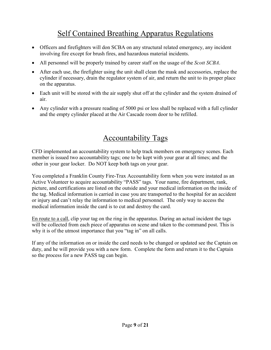# Self Contained Breathing Apparatus Regulations

- <span id="page-8-0"></span>• Officers and firefighters will don SCBA on any structural related emergency, any incident involving fire except for brush fires, and hazardous material incidents.
- All personnel will be properly trained by career staff on the usage of the *Scott SCBA*.
- After each use, the firefighter using the unit shall clean the mask and accessories, replace the cylinder if necessary, drain the regulator system of air, and return the unit to its proper place on the apparatus.
- Each unit will be stored with the air supply shut off at the cylinder and the system drained of air.
- Any cylinder with a pressure reading of 5000 psi or less shall be replaced with a full cylinder and the empty cylinder placed at the Air Cascade room door to be refilled.

### Accountability Tags

<span id="page-8-1"></span>CFD implemented an accountability system to help track members on emergency scenes. Each member is issued two accountability tags; one to be kept with your gear at all times; and the other in your gear locker. Do NOT keep both tags on your gear.

You completed a Franklin County Fire-Trax Accountability form when you were instated as an Active Volunteer to acquire accountability "PASS" tags. Your name, fire department, rank, picture, and certifications are listed on the outside and your medical information on the inside of the tag. Medical information is carried in case you are transported to the hospital for an accident or injury and can't relay the information to medical personnel. The only way to access the medical information inside the card is to cut and destroy the card.

En route to a call, clip your tag on the ring in the apparatus. During an actual incident the tags will be collected from each piece of apparatus on scene and taken to the command post. This is why it is of the utmost importance that you "tag in" on all calls.

If any of the information on or inside the card needs to be changed or updated see the Captain on duty, and he will provide you with a new form. Complete the form and return it to the Captain so the process for a new PASS tag can begin.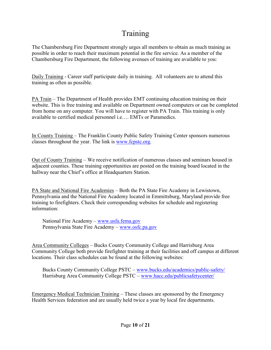# **Training**

<span id="page-9-0"></span>The Chambersburg Fire Department strongly urges all members to obtain as much training as possible in order to reach their maximum potential in the fire service. As a member of the Chambersburg Fire Department, the following avenues of training are available to you:

Daily Training - Career staff participate daily in training. All volunteers are to attend this training as often as possible.

PA Train – The Department of Health provides EMT continuing education training on their website. This is free training and available on Department owned computers or can be completed from home on any computer. You will have to register with PA Train. This training is only available to certified medical personnel i.e…. EMTs or Paramedics.

In County Training – The Franklin County Public Safety Training Center sponsors numerous classes throughout the year. The link is [www.fcpstc.org.](http://www.fcpstc.org/)

Out of County Training – We receive notification of numerous classes and seminars housed in adjacent counties. These training opportunities are posted on the training board located in the hallway near the Chief's office at Headquarters Station.

PA State and National Fire Academies – Both the PA State Fire Academy in Lewistown, Pennsylvania and the National Fire Academy located in Emmittsburg, Maryland provide free training to firefighters. Check their corresponding websites for schedule and registering information:

National Fire Academy - [www.usfa.fema.gov](http://www.usfa.fema.gov/) Pennsylvania State Fire Academy – [www.osfc.pa.gov](http://www.osfc.pa.gov/)

Area Community Colleges – Bucks County Community College and Harrisburg Area Community College both provide firefighter training at their facilities and off campus at different locations. Their class schedules can be found at the following websites:

 Bucks County Community College PSTC – [www.bucks.edu/academics/public-safety/](http://www.bucks.edu/academics/public-safety/) Harrisburg Area Community College PSTC – [www.hacc.edu/publicsafetycenter/](http://www.hacc.edu/publicsafetycenter/)

Emergency Medical Technician Training – These classes are sponsored by the Emergency Health Services federation and are usually held twice a year by local fire departments.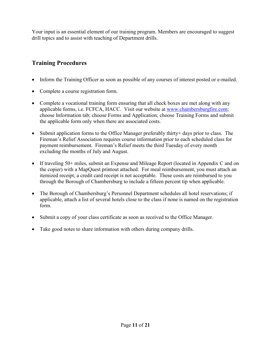Your input is an essential element of our training program. Members are encouraged to suggest drill topics and to assist with teaching of Department drills.

### **Training Procedures**

- Inform the Training Officer as soon as possible of any courses of interest posted or e-mailed.
- Complete a course registration form.
- Complete a vocational training form ensuring that all check boxes are met along with any applicable forms, i.e. FCFCA, HACC. Visit our website at [www.chambersburgfire.com;](http://www.chambersburgfire.com/) choose Information tab; choose Forms and Application; choose Training Forms and submit the applicable form only when there are associated costs.
- Submit application forms to the Office Manager preferably thirty+ days prior to class. The Fireman's Relief Association requires course information prior to each scheduled class for payment reimbursement. Fireman's Relief meets the third Tuesday of every month excluding the months of July and August.
- If traveling 50+ miles, submit an Expense and Mileage Report (located in Appendix C and on the copier) with a MapQuest printout attached. For meal reimbursement, you must attach an itemized receipt; a credit card receipt is not acceptable. These costs are reimbursed to you through the Borough of Chambersburg to include a fifteen percent tip when applicable.
- The Borough of Chambersburg's Personnel Department schedules all hotel reservations; if applicable, attach a list of several hotels close to the class if none is named on the registration form.
- Submit a copy of your class certificate as soon as received to the Office Manager.
- Take good notes to share information with others during company drills.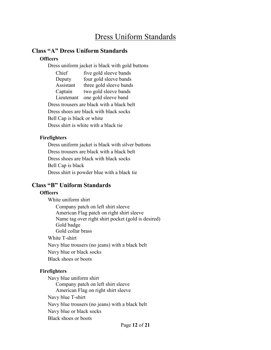# Dress Uniform Standards

### <span id="page-11-0"></span>**Class "A" Dress Uniform Standards**

### **Officers**

Dress uniform jacket is black with gold buttons

| Chief                      | five gold sleeve bands                     |
|----------------------------|--------------------------------------------|
| Deputy                     | four gold sleeve bands                     |
| Assistant                  | three gold sleeve bands                    |
| Captain                    | two gold sleeve bands                      |
| Lieutenant                 | one gold sleeve band                       |
|                            | Dress trousers are black with a black belt |
|                            | Dress shoes are black with black socks     |
| Bell Cap is black or white |                                            |
|                            | Dress shirt is white with a black tie      |
|                            |                                            |

### **Firefighters**

Dress uniform jacket is black with silver buttons Dress trousers are black with a black belt Dress shoes are black with black socks Bell Cap is black Dress shirt is powder blue with a black tie

### **Class "B" Uniform Standards**

### **Officers**

White uniform shirt Company patch on left shirt sleeve American Flag patch on right shirt sleeve Name tag over right shirt pocket (gold is desired) Gold badge Gold collar brass White T-shirt Navy blue trousers (no jeans) with a black belt Navy blue or black socks Black shoes or boots

### **Firefighters**

Navy blue uniform shirt Company patch on left shirt sleeve American Flag on right shirt sleeve Navy blue T-shirt Navy blue trousers (no jeans) with a black belt Navy blue or black socks Black shoes or boots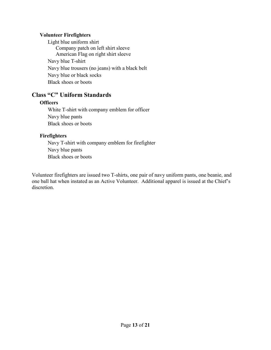#### **Volunteer Firefighters**

Light blue uniform shirt Company patch on left shirt sleeve American Flag on right shirt sleeve Navy blue T-shirt Navy blue trousers (no jeans) with a black belt Navy blue or black socks Black shoes or boots

### **Class "C" Uniform Standards**

#### **Officers**

White T-shirt with company emblem for officer Navy blue pants Black shoes or boots

#### **Firefighters**

Navy T-shirt with company emblem for firefighter Navy blue pants Black shoes or boots

Volunteer firefighters are issued two T-shirts, one pair of navy uniform pants, one beanie, and one ball hat when instated as an Active Volunteer. Additional apparel is issued at the Chief's discretion.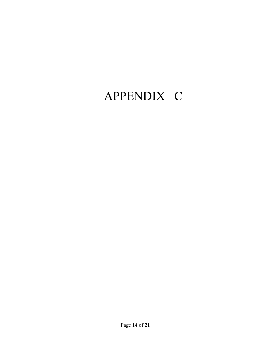# <span id="page-13-0"></span>APPENDIX C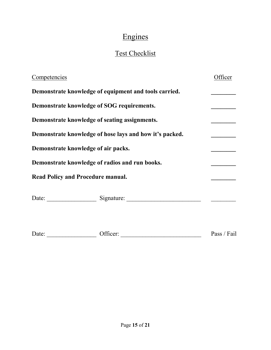# Engines

# Test Checklist

<span id="page-14-0"></span>

| Competencies |                                                         | Officer     |
|--------------|---------------------------------------------------------|-------------|
|              | Demonstrate knowledge of equipment and tools carried.   |             |
|              | Demonstrate knowledge of SOG requirements.              |             |
|              | Demonstrate knowledge of seating assignments.           |             |
|              | Demonstrate knowledge of hose lays and how it's packed. |             |
|              | Demonstrate knowledge of air packs.                     |             |
|              | Demonstrate knowledge of radios and run books.          |             |
|              | <b>Read Policy and Procedure manual.</b>                |             |
|              | Date: Signature: Signature:                             |             |
| Date:        | Officer:                                                | Pass / Fail |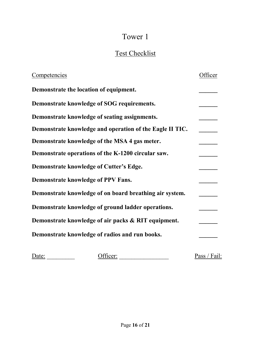# Tower 1

# Test Checklist

<span id="page-15-0"></span>

| Competencies                                             | )fficer |
|----------------------------------------------------------|---------|
| Demonstrate the location of equipment.                   |         |
| Demonstrate knowledge of SOG requirements.               |         |
| Demonstrate knowledge of seating assignments.            |         |
| Demonstrate knowledge and operation of the Eagle II TIC. |         |
| Demonstrate knowledge of the MSA 4 gas meter.            |         |
| Demonstrate operations of the K-1200 circular saw.       |         |
| Demonstrate knowledge of Cutter's Edge.                  |         |
| Demonstrate knowledge of PPV Fans.                       |         |
| Demonstrate knowledge of on board breathing air system.  |         |
| Demonstrate knowledge of ground ladder operations.       |         |
| Demonstrate knowledge of air packs & RIT equipment.      |         |
| Demonstrate knowledge of radios and run books.           |         |
|                                                          |         |

| Date: | $)$ tt $1$ cer $\cdot$ | $\mathbf{D}_{\alpha\alpha\alpha}$<br>a <sub>1</sub> |
|-------|------------------------|-----------------------------------------------------|
|       |                        |                                                     |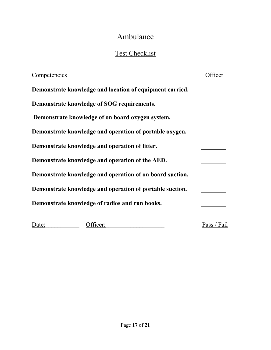# Ambulance

# Test Checklist

<span id="page-16-0"></span>

| Competencies |                                                          | fficer      |
|--------------|----------------------------------------------------------|-------------|
|              | Demonstrate knowledge and location of equipment carried. |             |
|              | Demonstrate knowledge of SOG requirements.               |             |
|              | Demonstrate knowledge of on board oxygen system.         |             |
|              | Demonstrate knowledge and operation of portable oxygen.  |             |
|              | Demonstrate knowledge and operation of litter.           |             |
|              | Demonstrate knowledge and operation of the AED.          |             |
|              | Demonstrate knowledge and operation of on board suction. |             |
|              | Demonstrate knowledge and operation of portable suction. |             |
|              | Demonstrate knowledge of radios and run books.           |             |
| Date:        | fficer:                                                  | Pass / Fail |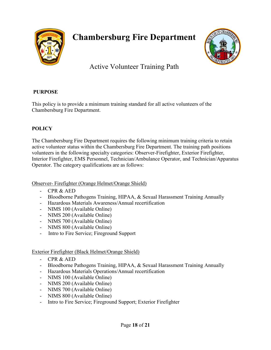

# **Chambersburg Fire Department**



### <span id="page-17-0"></span>Active Volunteer Training Path

### **PURPOSE**

This policy is to provide a minimum training standard for all active volunteers of the Chambersburg Fire Department.

### **POLICY**

The Chambersburg Fire Department requires the following minimum training criteria to retain active volunteer status within the Chambersburg Fire Department. The training path positions volunteers in the following specialty categories: Observer-Firefighter, Exterior Firefighter, Interior Firefighter, EMS Personnel, Technician/Ambulance Operator, and Technician/Apparatus Operator. The category qualifications are as follows:

Observer- Firefighter (Orange Helmet/Orange Shield)

- CPR & AED
- Bloodborne Pathogens Training, HIPAA, & Sexual Harassment Training Annually
- Hazardous Materials Awareness/Annual recertification
- NIMS 100 (Available Online)
- NIMS 200 (Available Online)
- NIMS 700 (Available Online)
- NIMS 800 (Available Online)
- Intro to Fire Service; Fireground Support

#### Exterior Firefighter (Black Helmet/Orange Shield)

- CPR & AED
- Bloodborne Pathogens Training, HIPAA, & Sexual Harassment Training Annually
- Hazardous Materials Operations/Annual recertification
- NIMS 100 (Available Online)
- NIMS 200 (Available Online)
- NIMS 700 (Available Online)
- NIMS 800 (Available Online)
- Intro to Fire Service; Fireground Support; Exterior Firefighter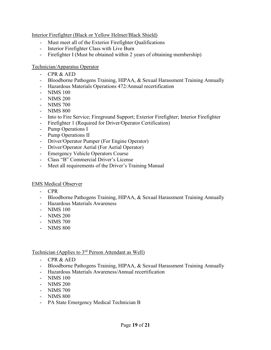#### Interior Firefighter (Black or Yellow Helmet/Black Shield)

- Must meet all of the Exterior Firefighter Qualifications
- Interior Firefighter Class with Live Burn
- Firefighter I (Must be obtained within 2 years of obtaining membership)

#### Technician/Apparatus Operator

- CPR & AED
- Bloodborne Pathogens Training, HIPAA, & Sexual Harassment Training Annually
- Hazardous Materials Operations 472/Annual recertification
- NIMS 100
- NIMS 200
- NIMS 700
- NIMS 800
- Into to Fire Service; Fireground Support; Exterior Firefighter; Interior Firefighter
- Firefighter 1 (Required for Driver/Operator Certification)
- Pump Operations I
- Pump Operations II
- Driver/Operator Pumper (For Engine Operator)
- Driver/Operator Aerial (For Aerial Operator)
- Emergency Vehicle Operators Course
- Class "B" Commercial Driver's License
- Meet all requirements of the Driver's Training Manual

#### EMS Medical Observer

- CPR
- Bloodborne Pathogens Training, HIPAA, & Sexual Harassment Training Annually
- Hazardous Materials Awareness
- NIMS 100
- NIMS 200
- NIMS 700
- NIMS 800

#### Technician (Applies to 3rd Person Attendant as Well)

- CPR & AED
- Bloodborne Pathogens Training, HIPAA, & Sexual Harassment Training Annually
- Hazardous Materials Awareness/Annual recertification
- NIMS 100
- NIMS 200
- NIMS 700
- NIMS 800
- PA State Emergency Medical Technician B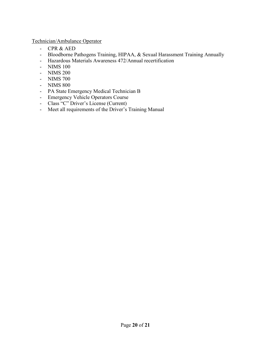Technician/Ambulance Operator

- CPR & AED
- Bloodborne Pathogens Training, HIPAA, & Sexual Harassment Training Annually
- Hazardous Materials Awareness 472/Annual recertification
- NIMS 100
- NIMS 200
- NIMS 700
- NIMS 800
- PA State Emergency Medical Technician B
- Emergency Vehicle Operators Course
- Class "C" Driver's License (Current)
- Meet all requirements of the Driver's Training Manual